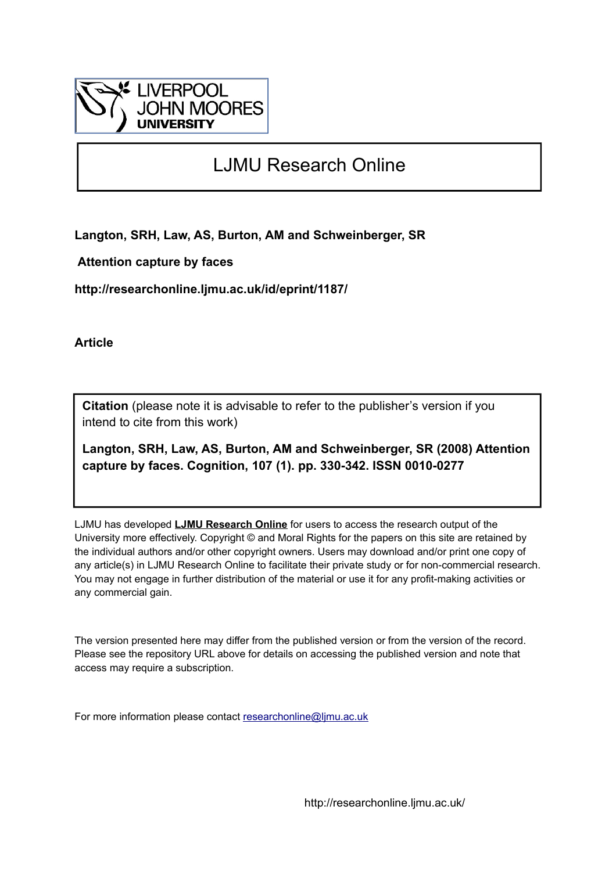

# LJMU Research Online

**Langton, SRH, Law, AS, Burton, AM and Schweinberger, SR**

 **Attention capture by faces**

**http://researchonline.ljmu.ac.uk/id/eprint/1187/**

**Article**

**Citation** (please note it is advisable to refer to the publisher's version if you intend to cite from this work)

**Langton, SRH, Law, AS, Burton, AM and Schweinberger, SR (2008) Attention capture by faces. Cognition, 107 (1). pp. 330-342. ISSN 0010-0277** 

LJMU has developed **[LJMU Research Online](http://researchonline.ljmu.ac.uk/)** for users to access the research output of the University more effectively. Copyright © and Moral Rights for the papers on this site are retained by the individual authors and/or other copyright owners. Users may download and/or print one copy of any article(s) in LJMU Research Online to facilitate their private study or for non-commercial research. You may not engage in further distribution of the material or use it for any profit-making activities or any commercial gain.

The version presented here may differ from the published version or from the version of the record. Please see the repository URL above for details on accessing the published version and note that access may require a subscription.

For more information please contact [researchonline@ljmu.ac.uk](mailto:researchonline@ljmu.ac.uk)

http://researchonline.ljmu.ac.uk/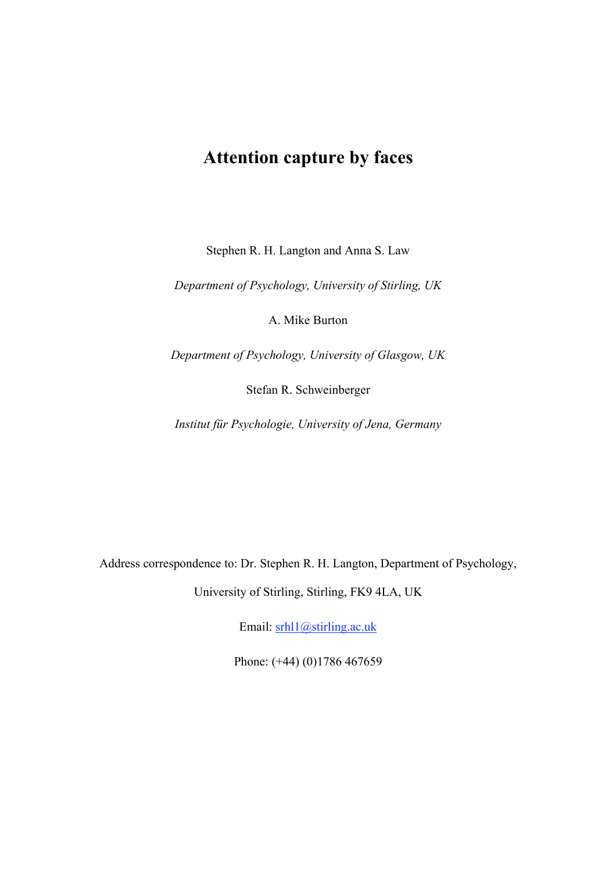# **Attention capture by faces**

Stephen R. H. Langton and Anna S. Law

*Department of Psychology, University of Stirling, UK*

A. Mike Burton

*Department of Psychology, University of Glasgow, UK*

Stefan R. Schweinberger

*Institut für Psychologie, University of Jena, Germany*

Address correspondence to: Dr. Stephen R. H. Langton, Department of Psychology,

University of Stirling, Stirling, FK9 4LA, UK

Email: srhl1@stirling.ac.uk

Phone: (+44) (0)1786 467659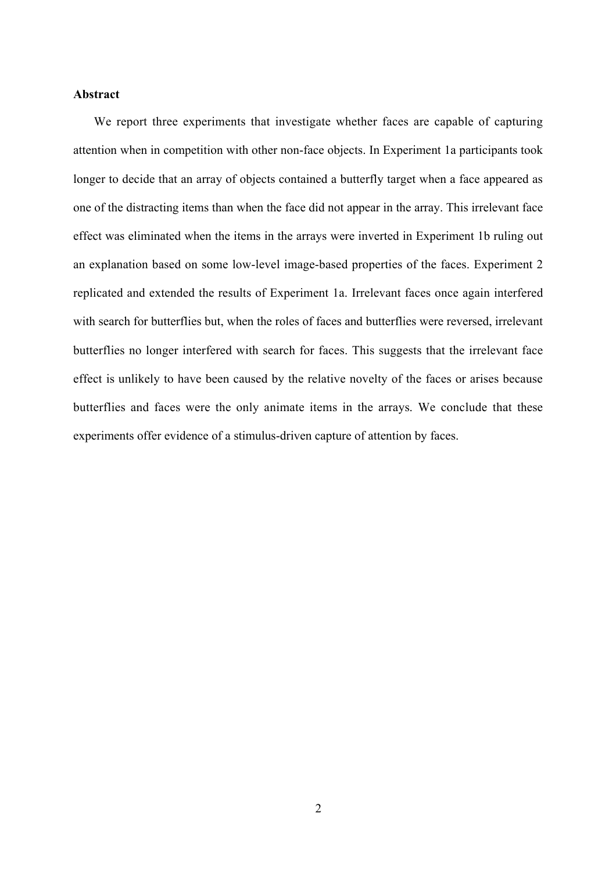#### **Abstract**

We report three experiments that investigate whether faces are capable of capturing attention when in competition with other non-face objects. In Experiment 1a participants took longer to decide that an array of objects contained a butterfly target when a face appeared as one of the distracting items than when the face did not appear in the array. This irrelevant face effect was eliminated when the items in the arrays were inverted in Experiment 1b ruling out an explanation based on some low-level image-based properties of the faces. Experiment 2 replicated and extended the results of Experiment 1a. Irrelevant faces once again interfered with search for butterflies but, when the roles of faces and butterflies were reversed, irrelevant butterflies no longer interfered with search for faces. This suggests that the irrelevant face effect is unlikely to have been caused by the relative novelty of the faces or arises because butterflies and faces were the only animate items in the arrays. We conclude that these experiments offer evidence of a stimulus-driven capture of attention by faces.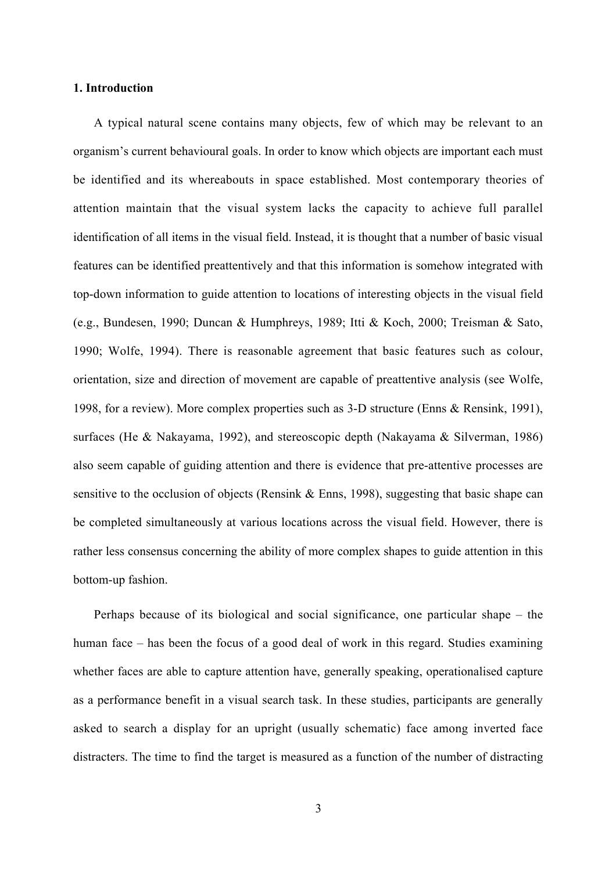#### **1. Introduction**

A typical natural scene contains many objects, few of which may be relevant to an organism's current behavioural goals. In order to know which objects are important each must be identified and its whereabouts in space established. Most contemporary theories of attention maintain that the visual system lacks the capacity to achieve full parallel identification of all items in the visual field. Instead, it is thought that a number of basic visual features can be identified preattentively and that this information is somehow integrated with top-down information to guide attention to locations of interesting objects in the visual field (e.g., Bundesen, 1990; Duncan & Humphreys, 1989; Itti & Koch, 2000; Treisman & Sato, 1990; Wolfe, 1994). There is reasonable agreement that basic features such as colour, orientation, size and direction of movement are capable of preattentive analysis (see Wolfe, 1998, for a review). More complex properties such as 3-D structure (Enns & Rensink, 1991), surfaces (He & Nakayama, 1992), and stereoscopic depth (Nakayama & Silverman, 1986) also seem capable of guiding attention and there is evidence that pre-attentive processes are sensitive to the occlusion of objects (Rensink & Enns, 1998), suggesting that basic shape can be completed simultaneously at various locations across the visual field. However, there is rather less consensus concerning the ability of more complex shapes to guide attention in this bottom-up fashion.

Perhaps because of its biological and social significance, one particular shape – the human face – has been the focus of a good deal of work in this regard. Studies examining whether faces are able to capture attention have, generally speaking, operationalised capture as a performance benefit in a visual search task. In these studies, participants are generally asked to search a display for an upright (usually schematic) face among inverted face distracters. The time to find the target is measured as a function of the number of distracting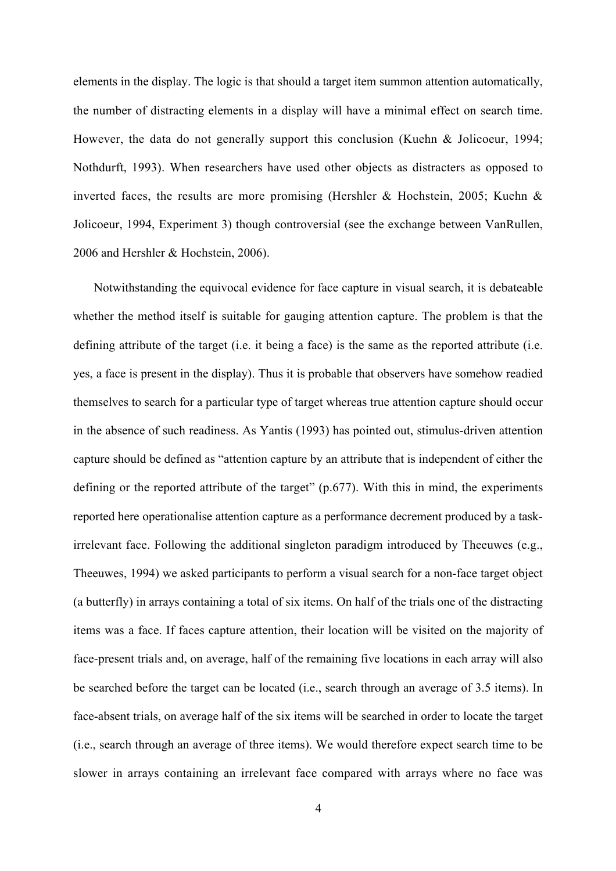elements in the display. The logic is that should a target item summon attention automatically, the number of distracting elements in a display will have a minimal effect on search time. However, the data do not generally support this conclusion (Kuehn & Jolicoeur, 1994; Nothdurft, 1993). When researchers have used other objects as distracters as opposed to inverted faces, the results are more promising (Hershler & Hochstein, 2005; Kuehn & Jolicoeur, 1994, Experiment 3) though controversial (see the exchange between VanRullen, 2006 and Hershler & Hochstein, 2006).

Notwithstanding the equivocal evidence for face capture in visual search, it is debateable whether the method itself is suitable for gauging attention capture. The problem is that the defining attribute of the target (i.e. it being a face) is the same as the reported attribute (i.e. yes, a face is present in the display). Thus it is probable that observers have somehow readied themselves to search for a particular type of target whereas true attention capture should occur in the absence of such readiness. As Yantis (1993) has pointed out, stimulus-driven attention capture should be defined as "attention capture by an attribute that is independent of either the defining or the reported attribute of the target" (p.677). With this in mind, the experiments reported here operationalise attention capture as a performance decrement produced by a taskirrelevant face. Following the additional singleton paradigm introduced by Theeuwes (e.g., Theeuwes, 1994) we asked participants to perform a visual search for a non-face target object (a butterfly) in arrays containing a total of six items. On half of the trials one of the distracting items was a face. If faces capture attention, their location will be visited on the majority of face-present trials and, on average, half of the remaining five locations in each array will also be searched before the target can be located (i.e., search through an average of 3.5 items). In face-absent trials, on average half of the six items will be searched in order to locate the target (i.e., search through an average of three items). We would therefore expect search time to be slower in arrays containing an irrelevant face compared with arrays where no face was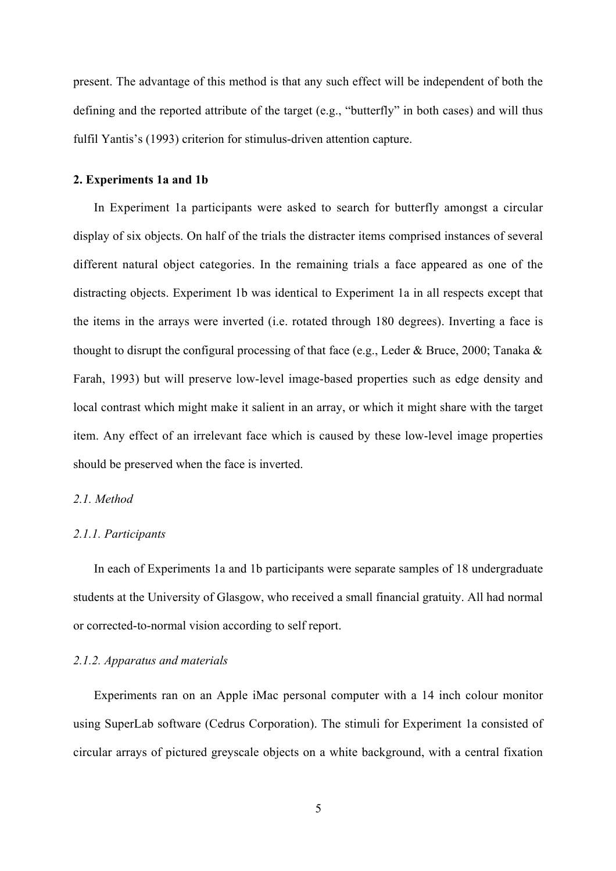present. The advantage of this method is that any such effect will be independent of both the defining and the reported attribute of the target (e.g., "butterfly" in both cases) and will thus fulfil Yantis's (1993) criterion for stimulus-driven attention capture.

#### **2. Experiments 1a and 1b**

In Experiment 1a participants were asked to search for butterfly amongst a circular display of six objects. On half of the trials the distracter items comprised instances of several different natural object categories. In the remaining trials a face appeared as one of the distracting objects. Experiment 1b was identical to Experiment 1a in all respects except that the items in the arrays were inverted (i.e. rotated through 180 degrees). Inverting a face is thought to disrupt the configural processing of that face (e.g., Leder & Bruce, 2000; Tanaka  $\&$ Farah, 1993) but will preserve low-level image-based properties such as edge density and local contrast which might make it salient in an array, or which it might share with the target item. Any effect of an irrelevant face which is caused by these low-level image properties should be preserved when the face is inverted.

#### *2.1. Method*

#### *2.1.1. Participants*

In each of Experiments 1a and 1b participants were separate samples of 18 undergraduate students at the University of Glasgow, who received a small financial gratuity. All had normal or corrected-to-normal vision according to self report.

### *2.1.2. Apparatus and materials*

Experiments ran on an Apple iMac personal computer with a 14 inch colour monitor using SuperLab software (Cedrus Corporation). The stimuli for Experiment 1a consisted of circular arrays of pictured greyscale objects on a white background, with a central fixation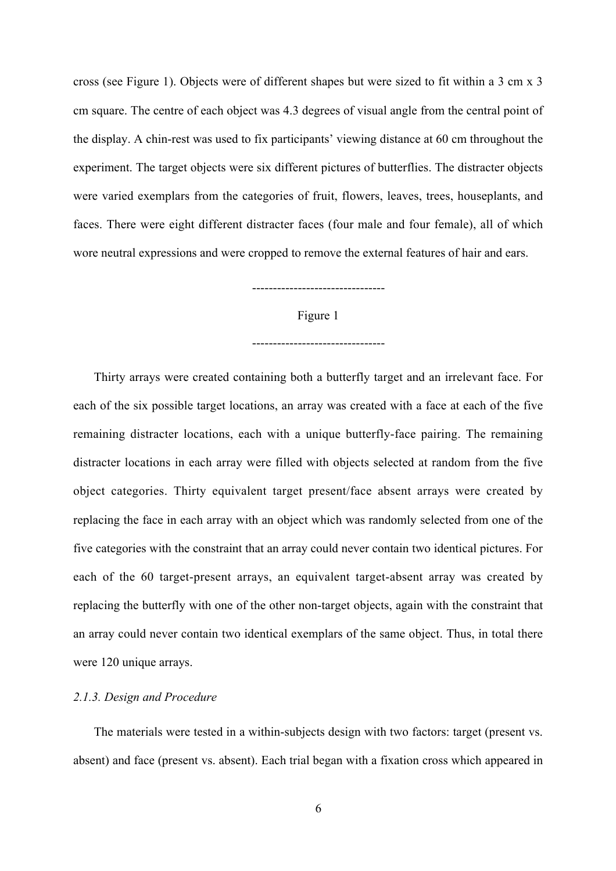cross (see Figure 1). Objects were of different shapes but were sized to fit within a 3 cm x 3 cm square. The centre of each object was 4.3 degrees of visual angle from the central point of the display. A chin-rest was used to fix participants' viewing distance at 60 cm throughout the experiment. The target objects were six different pictures of butterflies. The distracter objects were varied exemplars from the categories of fruit, flowers, leaves, trees, houseplants, and faces. There were eight different distracter faces (four male and four female), all of which wore neutral expressions and were cropped to remove the external features of hair and ears.

### --------------------------------

Figure 1

--------------------------------

Thirty arrays were created containing both a butterfly target and an irrelevant face. For each of the six possible target locations, an array was created with a face at each of the five remaining distracter locations, each with a unique butterfly-face pairing. The remaining distracter locations in each array were filled with objects selected at random from the five object categories. Thirty equivalent target present/face absent arrays were created by replacing the face in each array with an object which was randomly selected from one of the five categories with the constraint that an array could never contain two identical pictures. For each of the 60 target-present arrays, an equivalent target-absent array was created by replacing the butterfly with one of the other non-target objects, again with the constraint that an array could never contain two identical exemplars of the same object. Thus, in total there were 120 unique arrays.

### *2.1.3. Design and Procedure*

The materials were tested in a within-subjects design with two factors: target (present vs. absent) and face (present vs. absent). Each trial began with a fixation cross which appeared in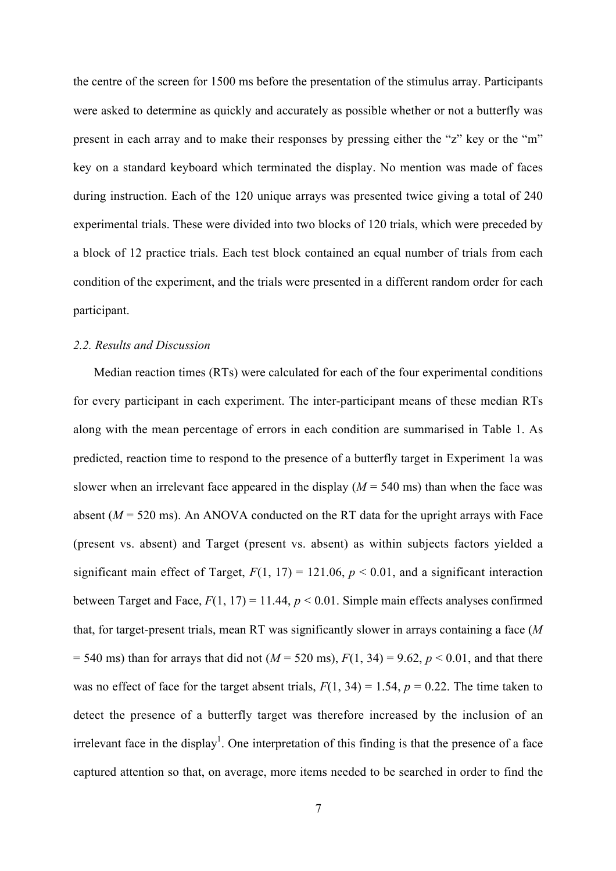the centre of the screen for 1500 ms before the presentation of the stimulus array. Participants were asked to determine as quickly and accurately as possible whether or not a butterfly was present in each array and to make their responses by pressing either the "z" key or the "m" key on a standard keyboard which terminated the display. No mention was made of faces during instruction. Each of the 120 unique arrays was presented twice giving a total of 240 experimental trials. These were divided into two blocks of 120 trials, which were preceded by a block of 12 practice trials. Each test block contained an equal number of trials from each condition of the experiment, and the trials were presented in a different random order for each participant.

## *2.2. Results and Discussion*

Median reaction times (RTs) were calculated for each of the four experimental conditions for every participant in each experiment. The inter-participant means of these median RTs along with the mean percentage of errors in each condition are summarised in Table 1. As predicted, reaction time to respond to the presence of a butterfly target in Experiment 1a was slower when an irrelevant face appeared in the display  $(M = 540 \text{ ms})$  than when the face was absent  $(M = 520 \text{ ms})$ . An ANOVA conducted on the RT data for the upright arrays with Face (present vs. absent) and Target (present vs. absent) as within subjects factors yielded a significant main effect of Target,  $F(1, 17) = 121.06$ ,  $p < 0.01$ , and a significant interaction between Target and Face,  $F(1, 17) = 11.44$ ,  $p < 0.01$ . Simple main effects analyses confirmed that, for target-present trials, mean RT was significantly slower in arrays containing a face (*M*  $= 540$  ms) than for arrays that did not ( $M = 520$  ms),  $F(1, 34) = 9.62$ ,  $p < 0.01$ , and that there was no effect of face for the target absent trials,  $F(1, 34) = 1.54$ ,  $p = 0.22$ . The time taken to detect the presence of a butterfly target was therefore increased by the inclusion of an irrelevant face in the display<sup>1</sup>. One interpretation of this finding is that the presence of a face captured attention so that, on average, more items needed to be searched in order to find the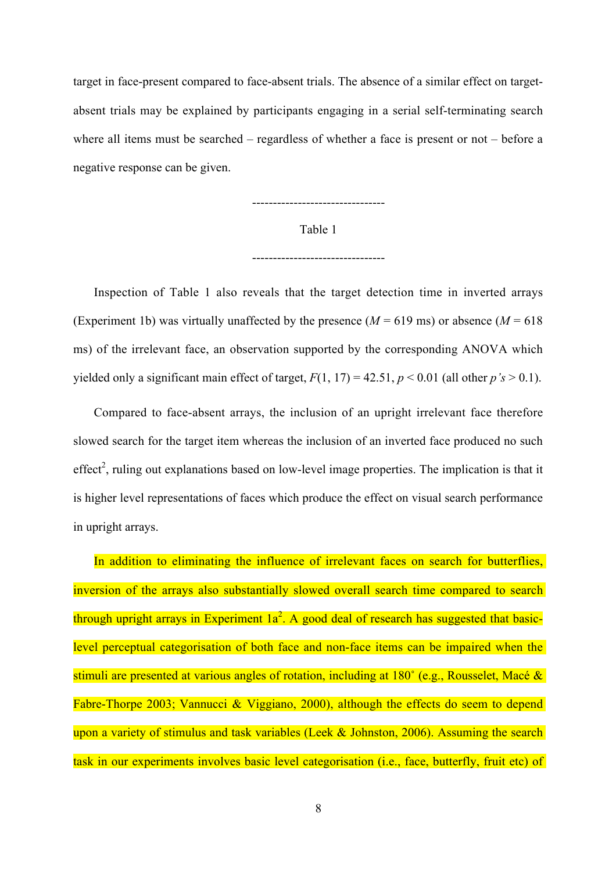target in face-present compared to face-absent trials. The absence of a similar effect on targetabsent trials may be explained by participants engaging in a serial self-terminating search where all items must be searched – regardless of whether a face is present or not – before a negative response can be given.

--------------------------------

Table 1

--------------------------------

Inspection of Table 1 also reveals that the target detection time in inverted arrays (Experiment 1b) was virtually unaffected by the presence  $(M = 619 \text{ ms})$  or absence  $(M = 618 \text{ s})$ ms) of the irrelevant face, an observation supported by the corresponding ANOVA which yielded only a significant main effect of target,  $F(1, 17) = 42.51$ ,  $p \le 0.01$  (all other  $p's > 0.1$ ).

Compared to face-absent arrays, the inclusion of an upright irrelevant face therefore slowed search for the target item whereas the inclusion of an inverted face produced no such effect<sup>2</sup>, ruling out explanations based on low-level image properties. The implication is that it is higher level representations of faces which produce the effect on visual search performance in upright arrays.

In addition to eliminating the influence of irrelevant faces on search for butterflies, inversion of the arrays also substantially slowed overall search time compared to search through upright arrays in Experiment  $1a^2$ . A good deal of research has suggested that basiclevel perceptual categorisation of both face and non-face items can be impaired when the stimuli are presented at various angles of rotation, including at 180˚ (e.g., Rousselet, Macé & Fabre-Thorpe 2003; Vannucci & Viggiano, 2000), although the effects do seem to depend upon a variety of stimulus and task variables (Leek & Johnston, 2006). Assuming the search task in our experiments involves basic level categorisation (i.e., face, butterfly, fruit etc) of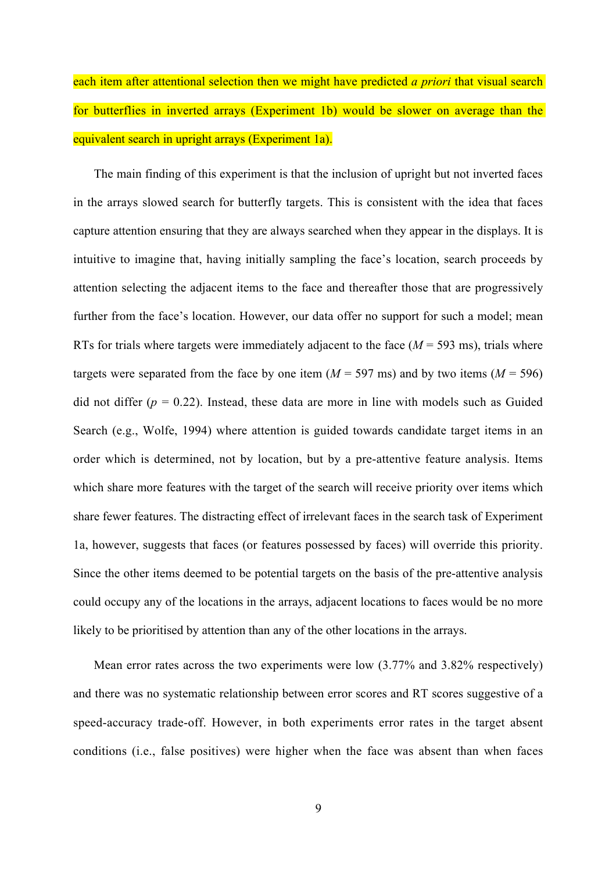each item after attentional selection then we might have predicted *a priori* that visual search for butterflies in inverted arrays (Experiment 1b) would be slower on average than the equivalent search in upright arrays (Experiment 1a).

The main finding of this experiment is that the inclusion of upright but not inverted faces in the arrays slowed search for butterfly targets. This is consistent with the idea that faces capture attention ensuring that they are always searched when they appear in the displays. It is intuitive to imagine that, having initially sampling the face's location, search proceeds by attention selecting the adjacent items to the face and thereafter those that are progressively further from the face's location. However, our data offer no support for such a model; mean RTs for trials where targets were immediately adjacent to the face  $(M = 593 \text{ ms})$ , trials where targets were separated from the face by one item  $(M = 597 \text{ ms})$  and by two items  $(M = 596)$ did not differ  $(p = 0.22)$ . Instead, these data are more in line with models such as Guided Search (e.g., Wolfe, 1994) where attention is guided towards candidate target items in an order which is determined, not by location, but by a pre-attentive feature analysis. Items which share more features with the target of the search will receive priority over items which share fewer features. The distracting effect of irrelevant faces in the search task of Experiment 1a, however, suggests that faces (or features possessed by faces) will override this priority. Since the other items deemed to be potential targets on the basis of the pre-attentive analysis could occupy any of the locations in the arrays, adjacent locations to faces would be no more likely to be prioritised by attention than any of the other locations in the arrays.

Mean error rates across the two experiments were low (3.77% and 3.82% respectively) and there was no systematic relationship between error scores and RT scores suggestive of a speed-accuracy trade-off. However, in both experiments error rates in the target absent conditions (i.e., false positives) were higher when the face was absent than when faces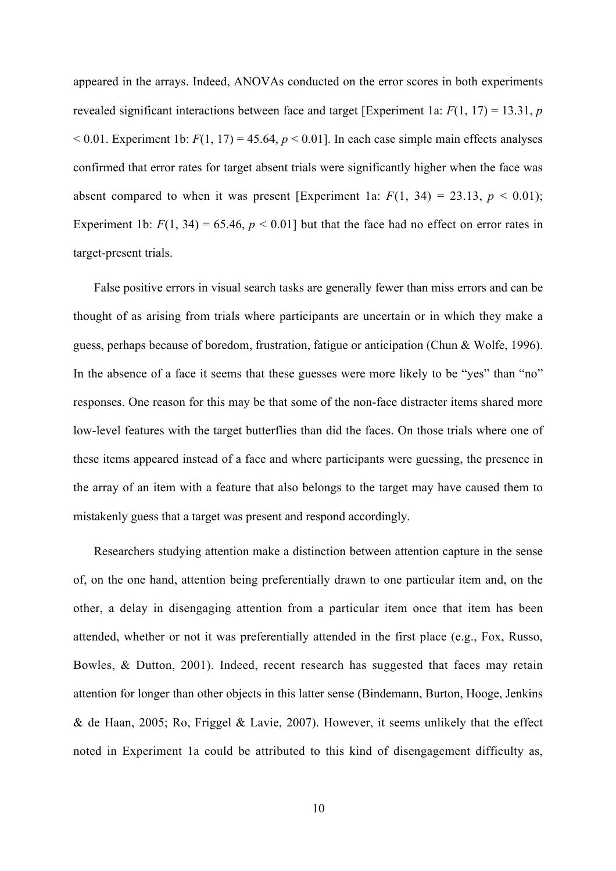appeared in the arrays. Indeed, ANOVAs conducted on the error scores in both experiments revealed significant interactions between face and target [Experiment 1a: *F*(1, 17) = 13.31, *p*  $< 0.01$ . Experiment 1b:  $F(1, 17) = 45.64$ ,  $p < 0.01$ ]. In each case simple main effects analyses confirmed that error rates for target absent trials were significantly higher when the face was absent compared to when it was present [Experiment 1a:  $F(1, 34) = 23.13$ ,  $p < 0.01$ ); Experiment 1b:  $F(1, 34) = 65.46$ ,  $p < 0.01$  but that the face had no effect on error rates in target-present trials.

False positive errors in visual search tasks are generally fewer than miss errors and can be thought of as arising from trials where participants are uncertain or in which they make a guess, perhaps because of boredom, frustration, fatigue or anticipation (Chun & Wolfe, 1996). In the absence of a face it seems that these guesses were more likely to be "yes" than "no" responses. One reason for this may be that some of the non-face distracter items shared more low-level features with the target butterflies than did the faces. On those trials where one of these items appeared instead of a face and where participants were guessing, the presence in the array of an item with a feature that also belongs to the target may have caused them to mistakenly guess that a target was present and respond accordingly.

Researchers studying attention make a distinction between attention capture in the sense of, on the one hand, attention being preferentially drawn to one particular item and, on the other, a delay in disengaging attention from a particular item once that item has been attended, whether or not it was preferentially attended in the first place (e.g., Fox, Russo, Bowles, & Dutton, 2001). Indeed, recent research has suggested that faces may retain attention for longer than other objects in this latter sense (Bindemann, Burton, Hooge, Jenkins & de Haan, 2005; Ro, Friggel & Lavie, 2007). However, it seems unlikely that the effect noted in Experiment 1a could be attributed to this kind of disengagement difficulty as,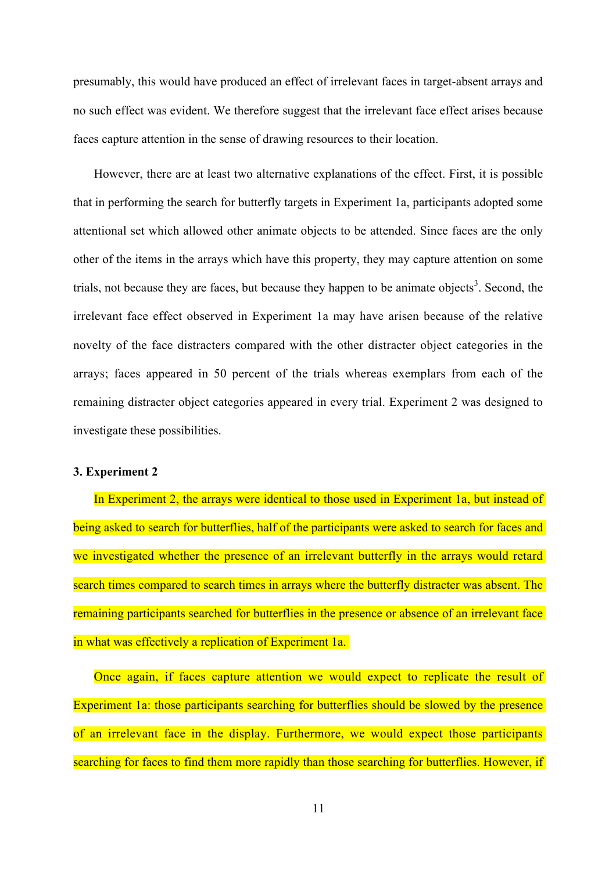presumably, this would have produced an effect of irrelevant faces in target-absent arrays and no such effect was evident. We therefore suggest that the irrelevant face effect arises because faces capture attention in the sense of drawing resources to their location.

However, there are at least two alternative explanations of the effect. First, it is possible that in performing the search for butterfly targets in Experiment 1a, participants adopted some attentional set which allowed other animate objects to be attended. Since faces are the only other of the items in the arrays which have this property, they may capture attention on some trials, not because they are faces, but because they happen to be animate objects<sup>3</sup>. Second, the irrelevant face effect observed in Experiment 1a may have arisen because of the relative novelty of the face distracters compared with the other distracter object categories in the arrays; faces appeared in 50 percent of the trials whereas exemplars from each of the remaining distracter object categories appeared in every trial. Experiment 2 was designed to investigate these possibilities.

## **3. Experiment 2**

In Experiment 2, the arrays were identical to those used in Experiment 1a, but instead of being asked to search for butterflies, half of the participants were asked to search for faces and we investigated whether the presence of an irrelevant butterfly in the arrays would retard search times compared to search times in arrays where the butterfly distracter was absent. The remaining participants searched for butterflies in the presence or absence of an irrelevant face in what was effectively a replication of Experiment 1a.

Once again, if faces capture attention we would expect to replicate the result of Experiment 1a: those participants searching for butterflies should be slowed by the presence of an irrelevant face in the display. Furthermore, we would expect those participants searching for faces to find them more rapidly than those searching for butterflies. However, if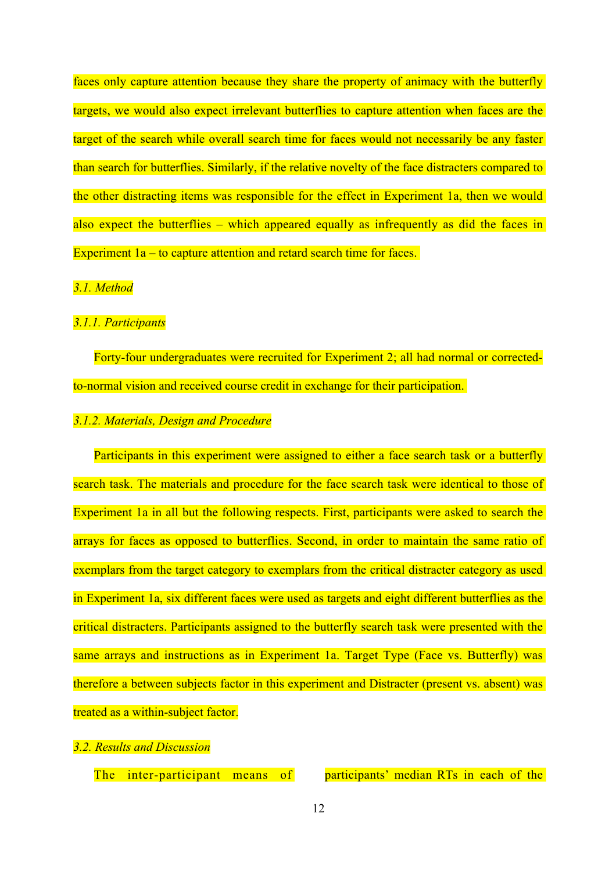faces only capture attention because they share the property of animacy with the butterfly targets, we would also expect irrelevant butterflies to capture attention when faces are the target of the search while overall search time for faces would not necessarily be any faster than search for butterflies. Similarly, if the relative novelty of the face distracters compared to the other distracting items was responsible for the effect in Experiment 1a, then we would also expect the butterflies – which appeared equally as infrequently as did the faces in Experiment 1a – to capture attention and retard search time for faces.

#### *3.1. Method*

## *3.1.1. Participants*

Forty-four undergraduates were recruited for Experiment 2; all had normal or correctedto-normal vision and received course credit in exchange for their participation.

#### *3.1.2. Materials, Design and Procedure*

Participants in this experiment were assigned to either a face search task or a butterfly search task. The materials and procedure for the face search task were identical to those of Experiment 1a in all but the following respects. First, participants were asked to search the arrays for faces as opposed to butterflies. Second, in order to maintain the same ratio of exemplars from the target category to exemplars from the critical distracter category as used in Experiment 1a, six different faces were used as targets and eight different butterflies as the critical distracters. Participants assigned to the butterfly search task were presented with the same arrays and instructions as in Experiment 1a. Target Type (Face vs. Butterfly) was therefore a between subjects factor in this experiment and Distracter (present vs. absent) was treated as a within-subject factor.

## *3.2. Results and Discussion*

The inter-participant means of participants' median RTs in each of the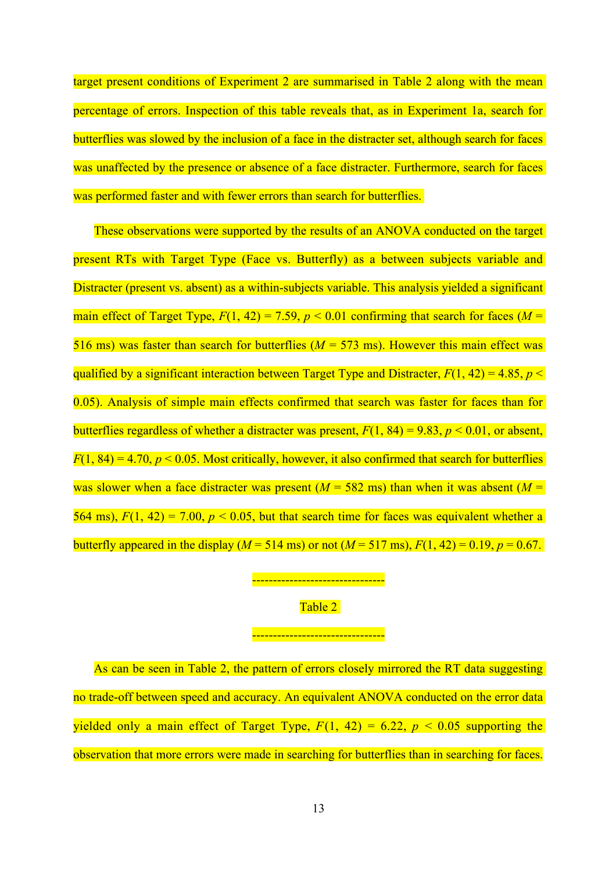target present conditions of Experiment 2 are summarised in Table 2 along with the mean percentage of errors. Inspection of this table reveals that, as in Experiment 1a, search for butterflies was slowed by the inclusion of a face in the distracter set, although search for faces was unaffected by the presence or absence of a face distracter. Furthermore, search for faces was performed faster and with fewer errors than search for butterflies.

These observations were supported by the results of an ANOVA conducted on the target present RTs with Target Type (Face vs. Butterfly) as a between subjects variable and Distracter (present vs. absent) as a within-subjects variable. This analysis yielded a significant main effect of Target Type,  $F(1, 42) = 7.59$ ,  $p < 0.01$  confirming that search for faces ( $M =$ 516 ms) was faster than search for butterflies (*M* = 573 ms). However this main effect was qualified by a significant interaction between Target Type and Distracter,  $F(1, 42) = 4.85$ ,  $p \le$ 0.05). Analysis of simple main effects confirmed that search was faster for faces than for butterflies regardless of whether a distracter was present,  $F(1, 84) = 9.83$ ,  $p < 0.01$ , or absent,  $F(1, 84) = 4.70$ ,  $p < 0.05$ . Most critically, however, it also confirmed that search for butterflies was slower when a face distracter was present  $(M = 582 \text{ ms})$  than when it was absent  $(M = 582 \text{ ms})$ 564 ms),  $F(1, 42) = 7.00$ ,  $p < 0.05$ , but that search time for faces was equivalent whether a butterfly appeared in the display ( $M = 514$  ms) or not ( $M = 517$  ms),  $F(1, 42) = 0.19$ ,  $p = 0.67$ .

# .**-------------------------------**Table 2

# .<mark>------------------------------</mark>

As can be seen in Table 2, the pattern of errors closely mirrored the RT data suggesting no trade-off between speed and accuracy. An equivalent ANOVA conducted on the error data yielded only a main effect of Target Type,  $F(1, 42) = 6.22$ ,  $p < 0.05$  supporting the observation that more errors were made in searching for butterflies than in searching for faces.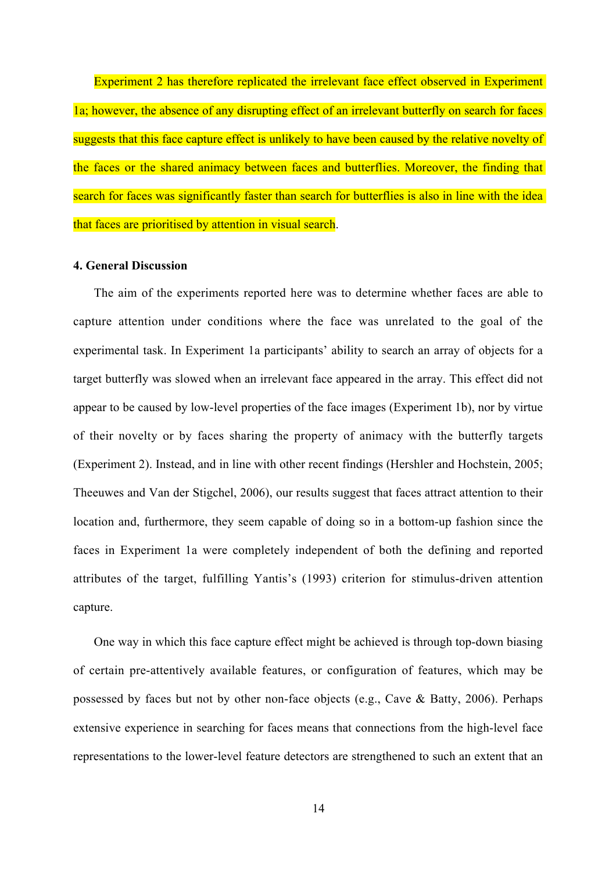Experiment 2 has therefore replicated the irrelevant face effect observed in Experiment 1a; however, the absence of any disrupting effect of an irrelevant butterfly on search for faces suggests that this face capture effect is unlikely to have been caused by the relative novelty of the faces or the shared animacy between faces and butterflies. Moreover, the finding that search for faces was significantly faster than search for butterflies is also in line with the idea that faces are prioritised by attention in visual search.

## **4. General Discussion**

The aim of the experiments reported here was to determine whether faces are able to capture attention under conditions where the face was unrelated to the goal of the experimental task. In Experiment 1a participants' ability to search an array of objects for a target butterfly was slowed when an irrelevant face appeared in the array. This effect did not appear to be caused by low-level properties of the face images (Experiment 1b), nor by virtue of their novelty or by faces sharing the property of animacy with the butterfly targets (Experiment 2). Instead, and in line with other recent findings (Hershler and Hochstein, 2005; Theeuwes and Van der Stigchel, 2006), our results suggest that faces attract attention to their location and, furthermore, they seem capable of doing so in a bottom-up fashion since the faces in Experiment 1a were completely independent of both the defining and reported attributes of the target, fulfilling Yantis's (1993) criterion for stimulus-driven attention capture.

One way in which this face capture effect might be achieved is through top-down biasing of certain pre-attentively available features, or configuration of features, which may be possessed by faces but not by other non-face objects (e.g., Cave & Batty, 2006). Perhaps extensive experience in searching for faces means that connections from the high-level face representations to the lower-level feature detectors are strengthened to such an extent that an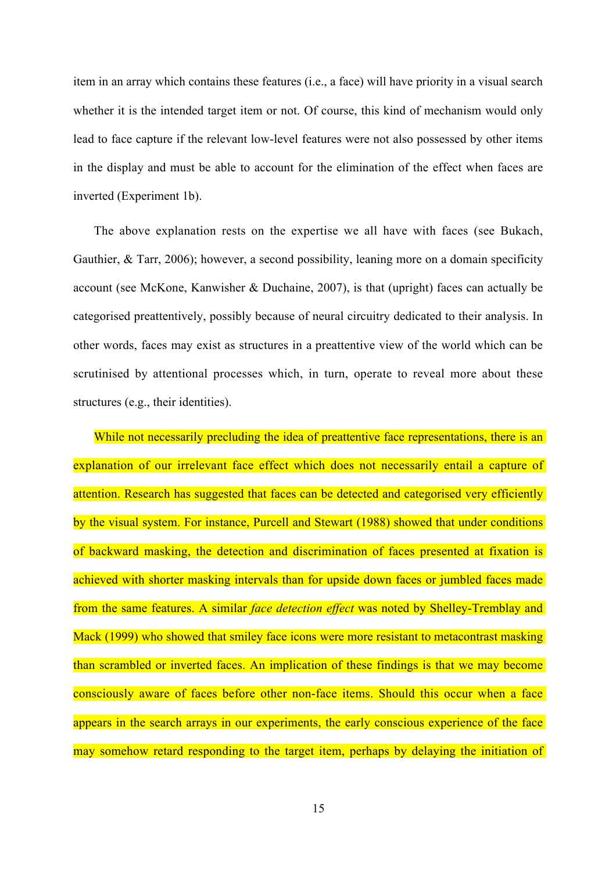item in an array which contains these features (i.e., a face) will have priority in a visual search whether it is the intended target item or not. Of course, this kind of mechanism would only lead to face capture if the relevant low-level features were not also possessed by other items in the display and must be able to account for the elimination of the effect when faces are inverted (Experiment 1b).

The above explanation rests on the expertise we all have with faces (see Bukach, Gauthier, & Tarr, 2006); however, a second possibility, leaning more on a domain specificity account (see McKone, Kanwisher & Duchaine, 2007), is that (upright) faces can actually be categorised preattentively, possibly because of neural circuitry dedicated to their analysis. In other words, faces may exist as structures in a preattentive view of the world which can be scrutinised by attentional processes which, in turn, operate to reveal more about these structures (e.g., their identities).

While not necessarily precluding the idea of preattentive face representations, there is an explanation of our irrelevant face effect which does not necessarily entail a capture of attention. Research has suggested that faces can be detected and categorised very efficiently by the visual system. For instance, Purcell and Stewart (1988) showed that under conditions of backward masking, the detection and discrimination of faces presented at fixation is achieved with shorter masking intervals than for upside down faces or jumbled faces made from the same features. A similar *face detection effect* was noted by Shelley-Tremblay and Mack (1999) who showed that smiley face icons were more resistant to metacontrast masking than scrambled or inverted faces. An implication of these findings is that we may become consciously aware of faces before other non-face items. Should this occur when a face appears in the search arrays in our experiments, the early conscious experience of the face may somehow retard responding to the target item, perhaps by delaying the initiation of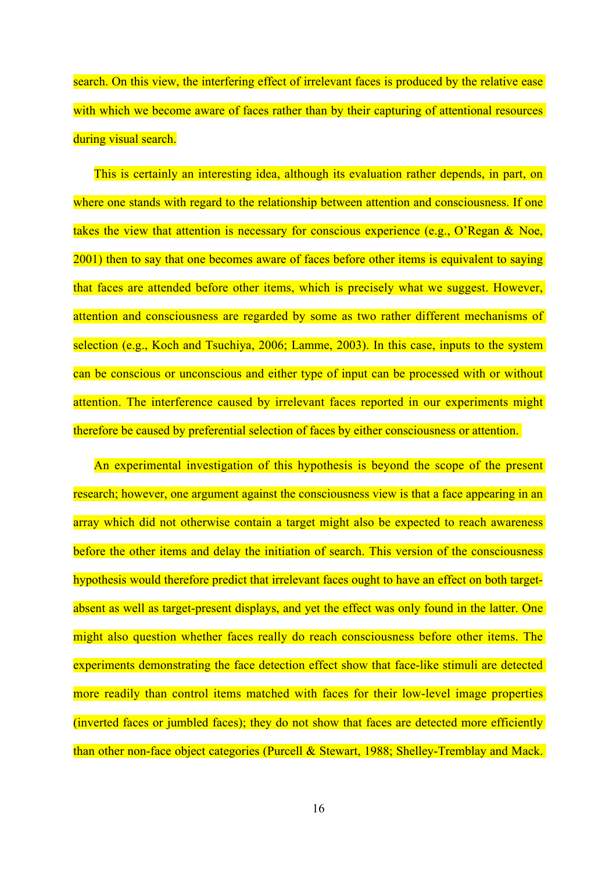search. On this view, the interfering effect of irrelevant faces is produced by the relative ease with which we become aware of faces rather than by their capturing of attentional resources during visual search.

This is certainly an interesting idea, although its evaluation rather depends, in part, on where one stands with regard to the relationship between attention and consciousness. If one takes the view that attention is necessary for conscious experience (e.g., O'Regan & Noe, 2001) then to say that one becomes aware of faces before other items is equivalent to saying that faces are attended before other items, which is precisely what we suggest. However, attention and consciousness are regarded by some as two rather different mechanisms of selection (e.g., Koch and Tsuchiya, 2006; Lamme, 2003). In this case, inputs to the system can be conscious or unconscious and either type of input can be processed with or without attention. The interference caused by irrelevant faces reported in our experiments might therefore be caused by preferential selection of faces by either consciousness or attention.

An experimental investigation of this hypothesis is beyond the scope of the present research; however, one argument against the consciousness view is that a face appearing in an array which did not otherwise contain a target might also be expected to reach awareness before the other items and delay the initiation of search. This version of the consciousness hypothesis would therefore predict that irrelevant faces ought to have an effect on both targetabsent as well as target-present displays, and yet the effect was only found in the latter. One might also question whether faces really do reach consciousness before other items. The experiments demonstrating the face detection effect show that face-like stimuli are detected more readily than control items matched with faces for their low-level image properties (inverted faces or jumbled faces); they do not show that faces are detected more efficiently than other non-face object categories (Purcell & Stewart, 1988; Shelley-Tremblay and Mack.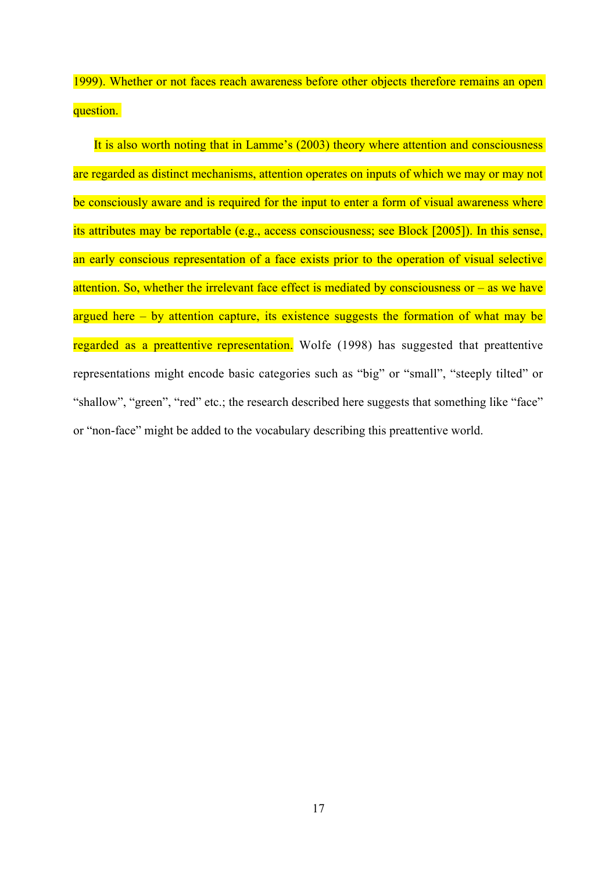1999). Whether or not faces reach awareness before other objects therefore remains an open question.

It is also worth noting that in Lamme's (2003) theory where attention and consciousness are regarded as distinct mechanisms, attention operates on inputs of which we may or may not be consciously aware and is required for the input to enter a form of visual awareness where its attributes may be reportable (e.g., access consciousness; see Block [2005]). In this sense, an early conscious representation of a face exists prior to the operation of visual selective attention. So, whether the irrelevant face effect is mediated by consciousness or – as we have argued here  $-$  by attention capture, its existence suggests the formation of what may be regarded as a preattentive representation. Wolfe (1998) has suggested that preattentive representations might encode basic categories such as "big" or "small", "steeply tilted" or "shallow", "green", "red" etc.; the research described here suggests that something like "face" or "non-face" might be added to the vocabulary describing this preattentive world.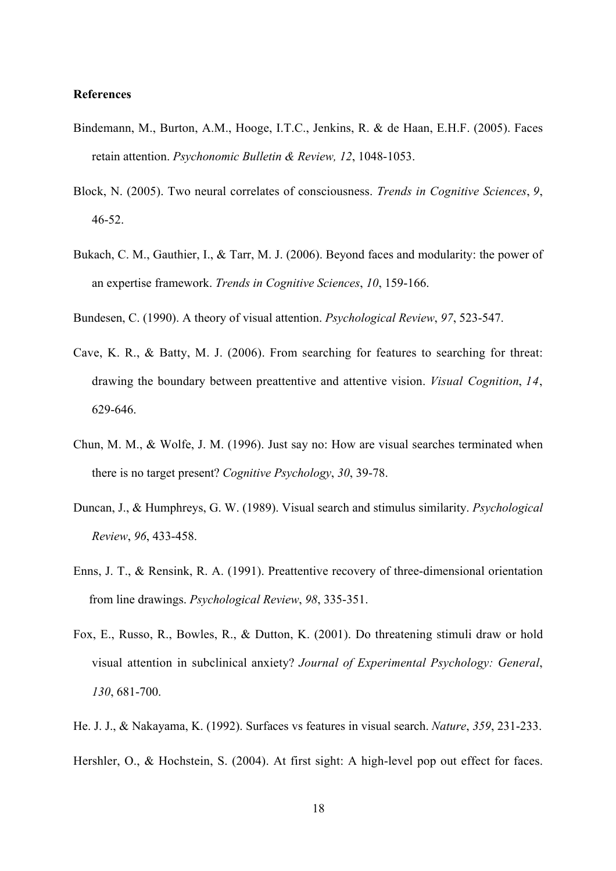#### **References**

- Bindemann, M., Burton, A.M., Hooge, I.T.C., Jenkins, R. & de Haan, E.H.F. (2005). Faces retain attention. *Psychonomic Bulletin & Review, 12*, 1048-1053.
- Block, N. (2005). Two neural correlates of consciousness. *Trends in Cognitive Sciences*, *9*, 46-52.
- Bukach, C. M., Gauthier, I., & Tarr, M. J. (2006). Beyond faces and modularity: the power of an expertise framework. *Trends in Cognitive Sciences*, *10*, 159-166.
- Bundesen, C. (1990). A theory of visual attention. *Psychological Review*, *97*, 523-547.
- Cave, K. R., & Batty, M. J. (2006). From searching for features to searching for threat: drawing the boundary between preattentive and attentive vision. *Visual Cognition*, *14*, 629-646.
- Chun, M. M., & Wolfe, J. M. (1996). Just say no: How are visual searches terminated when there is no target present? *Cognitive Psychology*, *30*, 39-78.
- Duncan, J., & Humphreys, G. W. (1989). Visual search and stimulus similarity. *Psychological Review*, *96*, 433-458.
- Enns, J. T., & Rensink, R. A. (1991). Preattentive recovery of three-dimensional orientation from line drawings. *Psychological Review*, *98*, 335-351.
- Fox, E., Russo, R., Bowles, R., & Dutton, K. (2001). Do threatening stimuli draw or hold visual attention in subclinical anxiety? *Journal of Experimental Psychology: General*, *130*, 681-700.
- He. J. J., & Nakayama, K. (1992). Surfaces vs features in visual search. *Nature*, *359*, 231-233.
- Hershler, O., & Hochstein, S. (2004). At first sight: A high-level pop out effect for faces.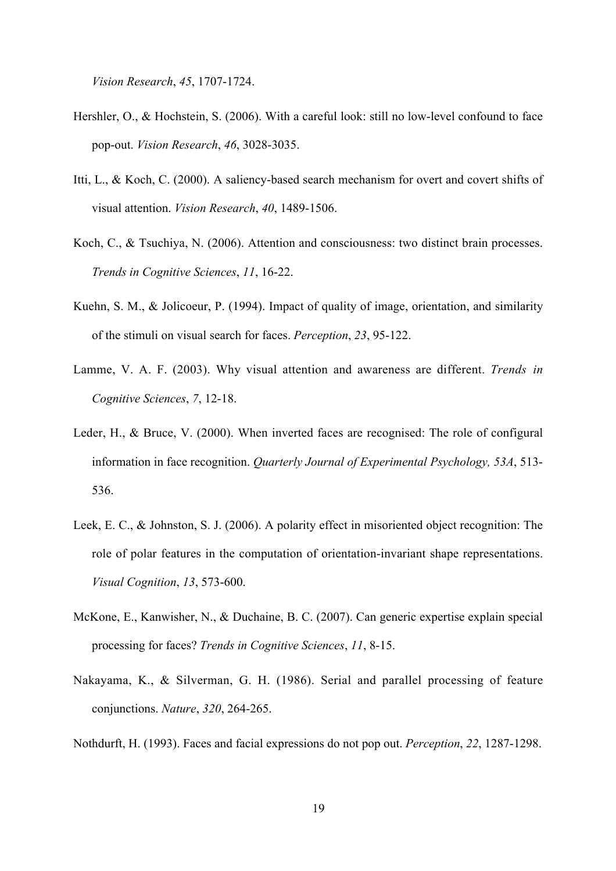*Vision Research*, *45*, 1707-1724.

- Hershler, O., & Hochstein, S. (2006). With a careful look: still no low-level confound to face pop-out. *Vision Research*, *46*, 3028-3035.
- Itti, L., & Koch, C. (2000). A saliency-based search mechanism for overt and covert shifts of visual attention. *Vision Research*, *40*, 1489-1506.
- Koch, C., & Tsuchiya, N. (2006). Attention and consciousness: two distinct brain processes. *Trends in Cognitive Sciences*, *11*, 16-22.
- Kuehn, S. M., & Jolicoeur, P. (1994). Impact of quality of image, orientation, and similarity of the stimuli on visual search for faces. *Perception*, *23*, 95-122.
- Lamme, V. A. F. (2003). Why visual attention and awareness are different. *Trends in Cognitive Sciences*, *7*, 12-18.
- Leder, H., & Bruce, V. (2000). When inverted faces are recognised: The role of configural information in face recognition. *Quarterly Journal of Experimental Psychology, 53A*, 513- 536.
- Leek, E. C., & Johnston, S. J. (2006). A polarity effect in misoriented object recognition: The role of polar features in the computation of orientation-invariant shape representations. *Visual Cognition*, *13*, 573-600.
- McKone, E., Kanwisher, N., & Duchaine, B. C. (2007). Can generic expertise explain special processing for faces? *Trends in Cognitive Sciences*, *11*, 8-15.
- Nakayama, K., & Silverman, G. H. (1986). Serial and parallel processing of feature conjunctions. *Nature*, *320*, 264-265.

Nothdurft, H. (1993). Faces and facial expressions do not pop out. *Perception*, *22*, 1287-1298.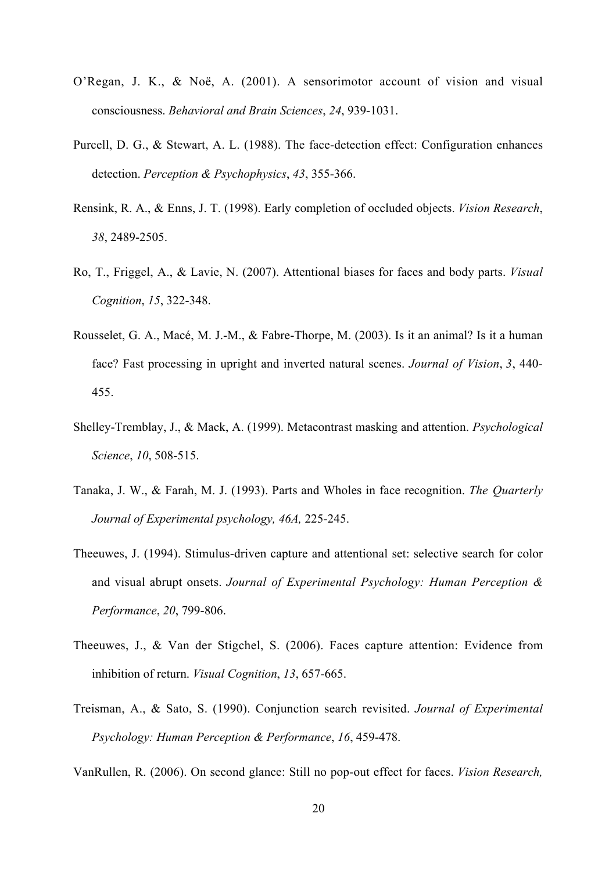- O'Regan, J. K., & Noë, A. (2001). A sensorimotor account of vision and visual consciousness. *Behavioral and Brain Sciences*, *24*, 939-1031.
- Purcell, D. G., & Stewart, A. L. (1988). The face-detection effect: Configuration enhances detection. *Perception & Psychophysics*, *43*, 355-366.
- Rensink, R. A., & Enns, J. T. (1998). Early completion of occluded objects. *Vision Research*, *38*, 2489-2505.
- Ro, T., Friggel, A., & Lavie, N. (2007). Attentional biases for faces and body parts. *Visual Cognition*, *15*, 322-348.
- Rousselet, G. A., Macé, M. J.-M., & Fabre-Thorpe, M. (2003). Is it an animal? Is it a human face? Fast processing in upright and inverted natural scenes. *Journal of Vision*, *3*, 440- 455.
- Shelley-Tremblay, J., & Mack, A. (1999). Metacontrast masking and attention. *Psychological Science*, *10*, 508-515.
- Tanaka, J. W., & Farah, M. J. (1993). Parts and Wholes in face recognition. *The Quarterly Journal of Experimental psychology, 46A,* 225-245.
- Theeuwes, J. (1994). Stimulus-driven capture and attentional set: selective search for color and visual abrupt onsets. *Journal of Experimental Psychology: Human Perception & Performance*, *20*, 799-806.
- Theeuwes, J., & Van der Stigchel, S. (2006). Faces capture attention: Evidence from inhibition of return. *Visual Cognition*, *13*, 657-665.
- Treisman, A., & Sato, S. (1990). Conjunction search revisited. *Journal of Experimental Psychology: Human Perception & Performance*, *16*, 459-478.

VanRullen, R. (2006). On second glance: Still no pop-out effect for faces. *Vision Research,*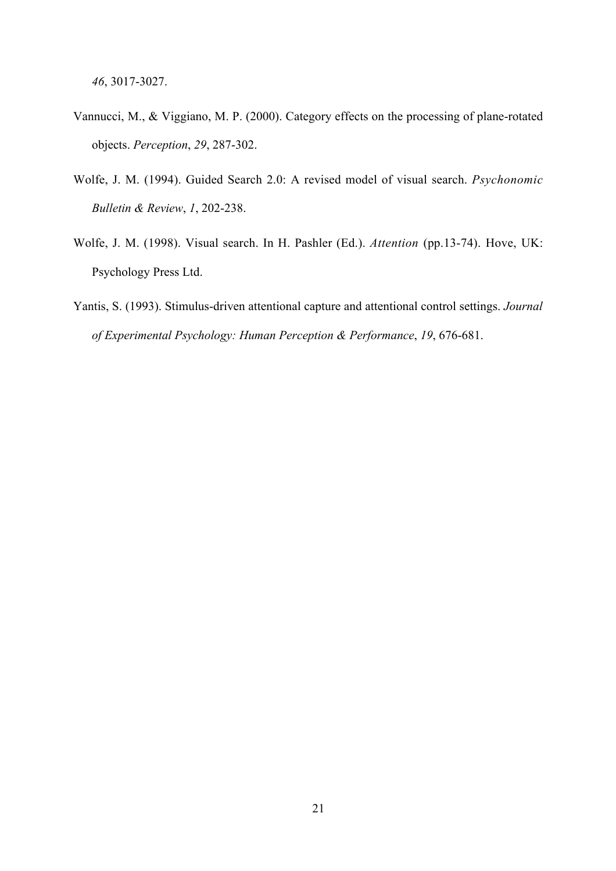*46*, 3017-3027.

- Vannucci, M., & Viggiano, M. P. (2000). Category effects on the processing of plane-rotated objects. *Perception*, *29*, 287-302.
- Wolfe, J. M. (1994). Guided Search 2.0: A revised model of visual search. *Psychonomic Bulletin & Review*, *1*, 202-238.
- Wolfe, J. M. (1998). Visual search. In H. Pashler (Ed.). *Attention* (pp.13-74). Hove, UK: Psychology Press Ltd.
- Yantis, S. (1993). Stimulus-driven attentional capture and attentional control settings. *Journal of Experimental Psychology: Human Perception & Performance*, *19*, 676-681.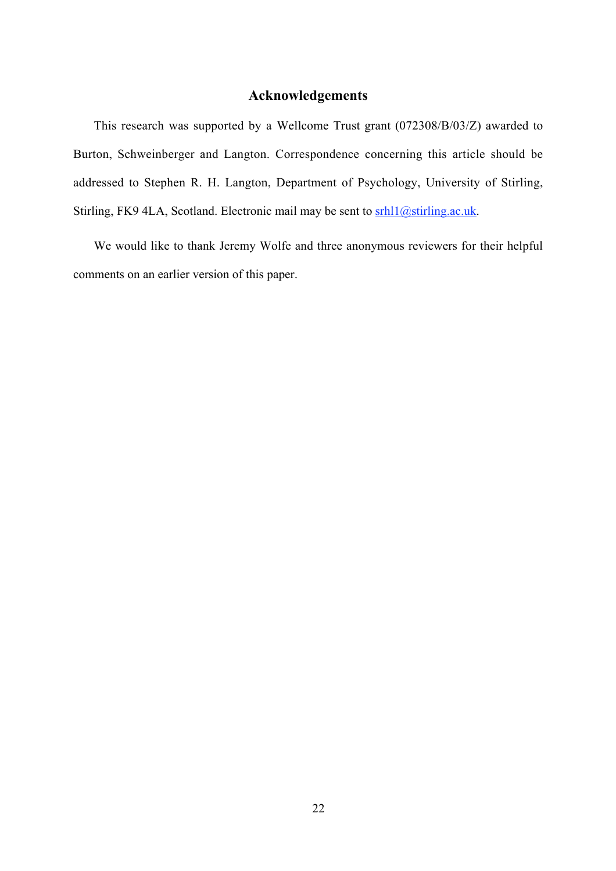# **Acknowledgements**

This research was supported by a Wellcome Trust grant (072308/B/03/Z) awarded to Burton, Schweinberger and Langton. Correspondence concerning this article should be addressed to Stephen R. H. Langton, Department of Psychology, University of Stirling, Stirling, FK9 4LA, Scotland. Electronic mail may be sent to  $\frac{\text{srh11@string.ac.uk}}{s}$ .

We would like to thank Jeremy Wolfe and three anonymous reviewers for their helpful comments on an earlier version of this paper.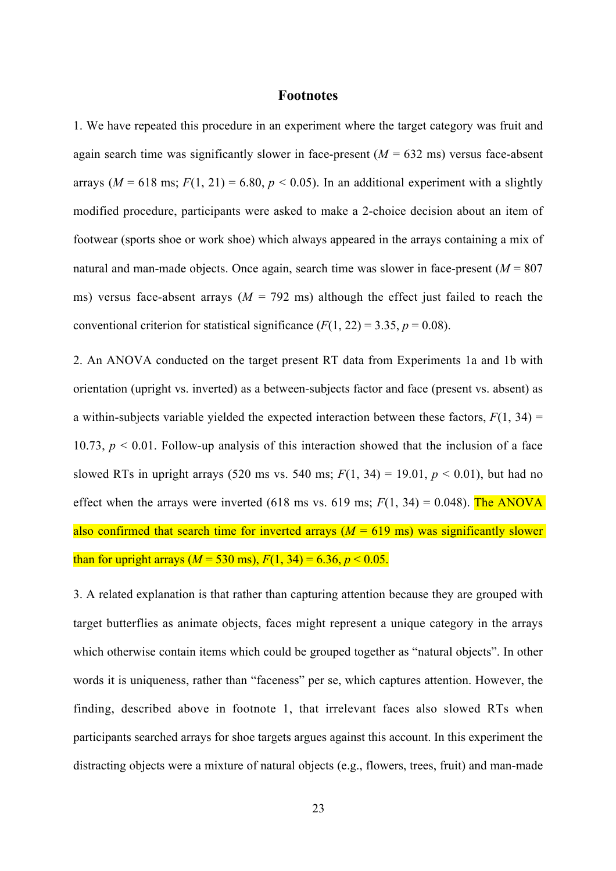### **Footnotes**

1. We have repeated this procedure in an experiment where the target category was fruit and again search time was significantly slower in face-present  $(M = 632 \text{ ms})$  versus face-absent arrays ( $M = 618$  ms;  $F(1, 21) = 6.80$ ,  $p < 0.05$ ). In an additional experiment with a slightly modified procedure, participants were asked to make a 2-choice decision about an item of footwear (sports shoe or work shoe) which always appeared in the arrays containing a mix of natural and man-made objects. Once again, search time was slower in face-present  $(M = 807)$ ms) versus face-absent arrays ( $M = 792$  ms) although the effect just failed to reach the conventional criterion for statistical significance  $(F(1, 22) = 3.35, p = 0.08)$ .

2. An ANOVA conducted on the target present RT data from Experiments 1a and 1b with orientation (upright vs. inverted) as a between-subjects factor and face (present vs. absent) as a within-subjects variable yielded the expected interaction between these factors,  $F(1, 34) =$ 10.73,  $p < 0.01$ . Follow-up analysis of this interaction showed that the inclusion of a face slowed RTs in upright arrays (520 ms vs. 540 ms;  $F(1, 34) = 19.01$ ,  $p < 0.01$ ), but had no effect when the arrays were inverted (618 ms vs. 619 ms;  $F(1, 34) = 0.048$ ). The ANOVA also confirmed that search time for inverted arrays  $(M = 619 \text{ ms})$  was significantly slower than for upright arrays ( $M = 530$  ms),  $F(1, 34) = 6.36$ ,  $p < 0.05$ .

3. A related explanation is that rather than capturing attention because they are grouped with target butterflies as animate objects, faces might represent a unique category in the arrays which otherwise contain items which could be grouped together as "natural objects". In other words it is uniqueness, rather than "faceness" per se, which captures attention. However, the finding, described above in footnote 1, that irrelevant faces also slowed RTs when participants searched arrays for shoe targets argues against this account. In this experiment the distracting objects were a mixture of natural objects (e.g., flowers, trees, fruit) and man-made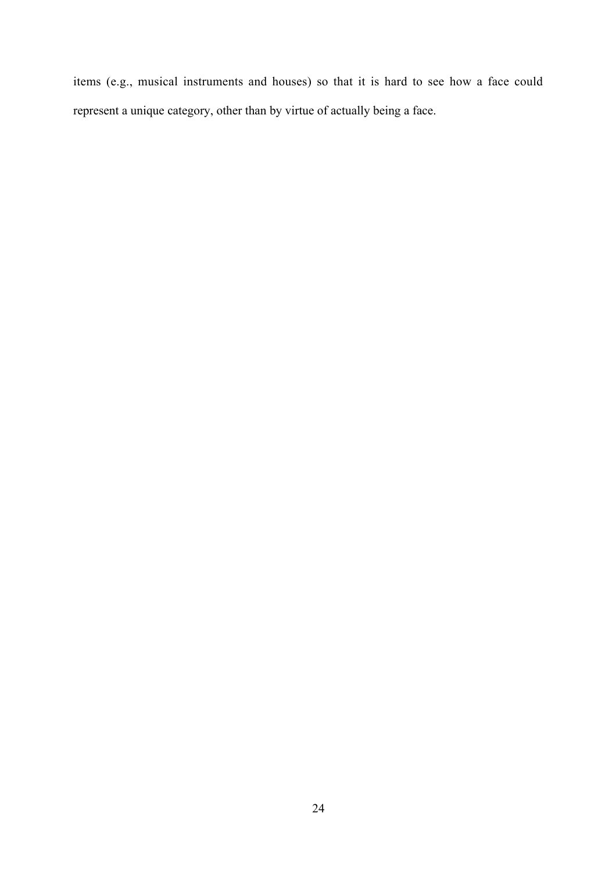items (e.g., musical instruments and houses) so that it is hard to see how a face could represent a unique category, other than by virtue of actually being a face.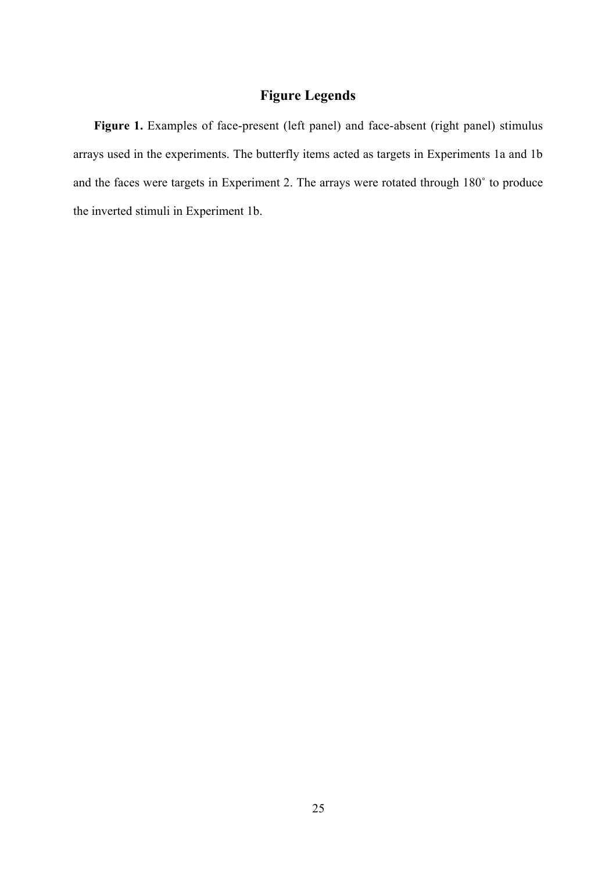# **Figure Legends**

Figure 1. Examples of face-present (left panel) and face-absent (right panel) stimulus arrays used in the experiments. The butterfly items acted as targets in Experiments 1a and 1b and the faces were targets in Experiment 2. The arrays were rotated through 180˚ to produce the inverted stimuli in Experiment 1b.